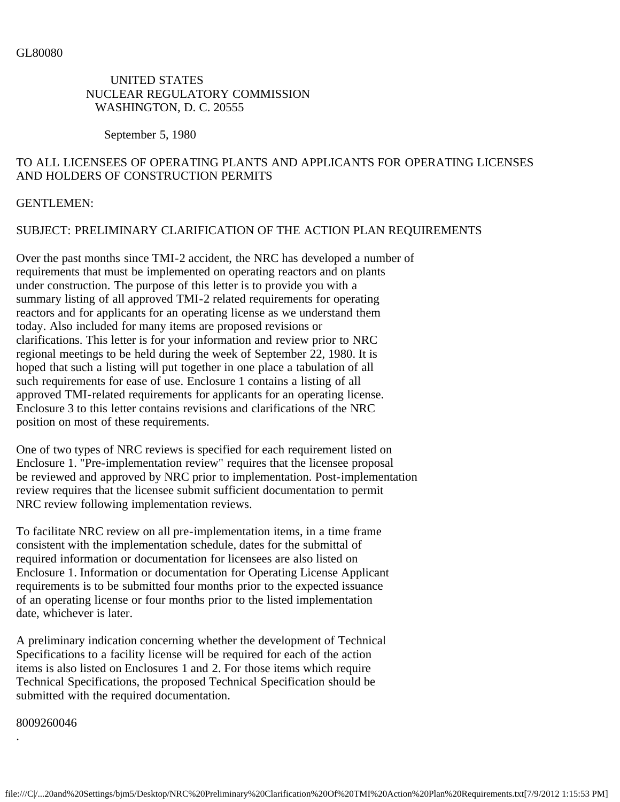## UNITED STATES NUCLEAR REGULATORY COMMISSION WASHINGTON, D. C. 20555

September 5, 1980

# TO ALL LICENSEES OF OPERATING PLANTS AND APPLICANTS FOR OPERATING LICENSES AND HOLDERS OF CONSTRUCTION PERMITS

## GENTLEMEN:

# SUBJECT: PRELIMINARY CLARIFICATION OF THE ACTION PLAN REQUIREMENTS

Over the past months since TMI-2 accident, the NRC has developed a number of requirements that must be implemented on operating reactors and on plants under construction. The purpose of this letter is to provide you with a summary listing of all approved TMI-2 related requirements for operating reactors and for applicants for an operating license as we understand them today. Also included for many items are proposed revisions or clarifications. This letter is for your information and review prior to NRC regional meetings to be held during the week of September 22, 1980. It is hoped that such a listing will put together in one place a tabulation of all such requirements for ease of use. Enclosure 1 contains a listing of all approved TMI-related requirements for applicants for an operating license. Enclosure 3 to this letter contains revisions and clarifications of the NRC position on most of these requirements.

One of two types of NRC reviews is specified for each requirement listed on Enclosure 1. "Pre-implementation review" requires that the licensee proposal be reviewed and approved by NRC prior to implementation. Post-implementation review requires that the licensee submit sufficient documentation to permit NRC review following implementation reviews.

To facilitate NRC review on all pre-implementation items, in a time frame consistent with the implementation schedule, dates for the submittal of required information or documentation for licensees are also listed on Enclosure 1. Information or documentation for Operating License Applicant requirements is to be submitted four months prior to the expected issuance of an operating license or four months prior to the listed implementation date, whichever is later.

A preliminary indication concerning whether the development of Technical Specifications to a facility license will be required for each of the action items is also listed on Enclosures 1 and 2. For those items which require Technical Specifications, the proposed Technical Specification should be submitted with the required documentation.

8009260046

.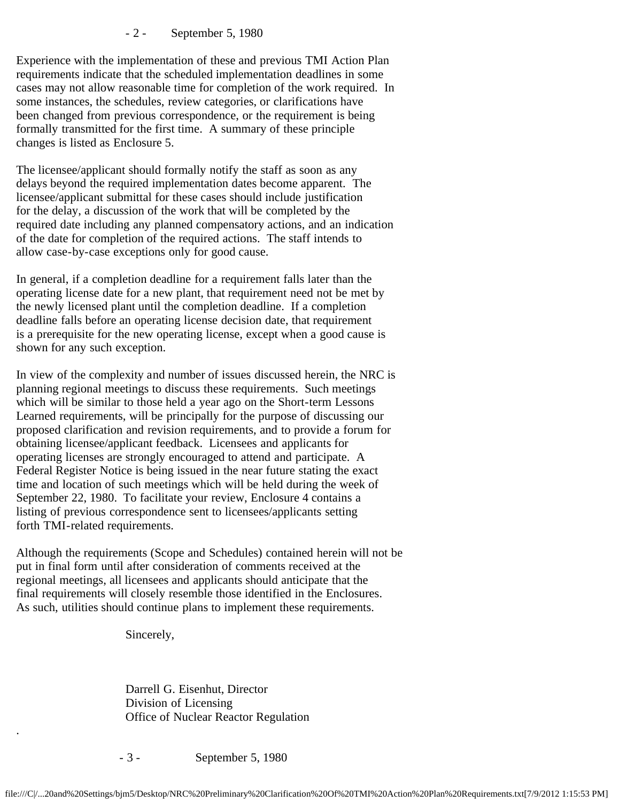- 2 - September 5, 1980

Experience with the implementation of these and previous TMI Action Plan requirements indicate that the scheduled implementation deadlines in some cases may not allow reasonable time for completion of the work required. In some instances, the schedules, review categories, or clarifications have been changed from previous correspondence, or the requirement is being formally transmitted for the first time. A summary of these principle changes is listed as Enclosure 5.

The licensee/applicant should formally notify the staff as soon as any delays beyond the required implementation dates become apparent. The licensee/applicant submittal for these cases should include justification for the delay, a discussion of the work that will be completed by the required date including any planned compensatory actions, and an indication of the date for completion of the required actions. The staff intends to allow case-by-case exceptions only for good cause.

In general, if a completion deadline for a requirement falls later than the operating license date for a new plant, that requirement need not be met by the newly licensed plant until the completion deadline. If a completion deadline falls before an operating license decision date, that requirement is a prerequisite for the new operating license, except when a good cause is shown for any such exception.

In view of the complexity and number of issues discussed herein, the NRC is planning regional meetings to discuss these requirements. Such meetings which will be similar to those held a year ago on the Short-term Lessons Learned requirements, will be principally for the purpose of discussing our proposed clarification and revision requirements, and to provide a forum for obtaining licensee/applicant feedback. Licensees and applicants for operating licenses are strongly encouraged to attend and participate. A Federal Register Notice is being issued in the near future stating the exact time and location of such meetings which will be held during the week of September 22, 1980. To facilitate your review, Enclosure 4 contains a listing of previous correspondence sent to licensees/applicants setting forth TMI-related requirements.

Although the requirements (Scope and Schedules) contained herein will not be put in final form until after consideration of comments received at the regional meetings, all licensees and applicants should anticipate that the final requirements will closely resemble those identified in the Enclosures. As such, utilities should continue plans to implement these requirements.

Sincerely,

.

 Darrell G. Eisenhut, Director Division of Licensing Office of Nuclear Reactor Regulation

- 3 - September 5, 1980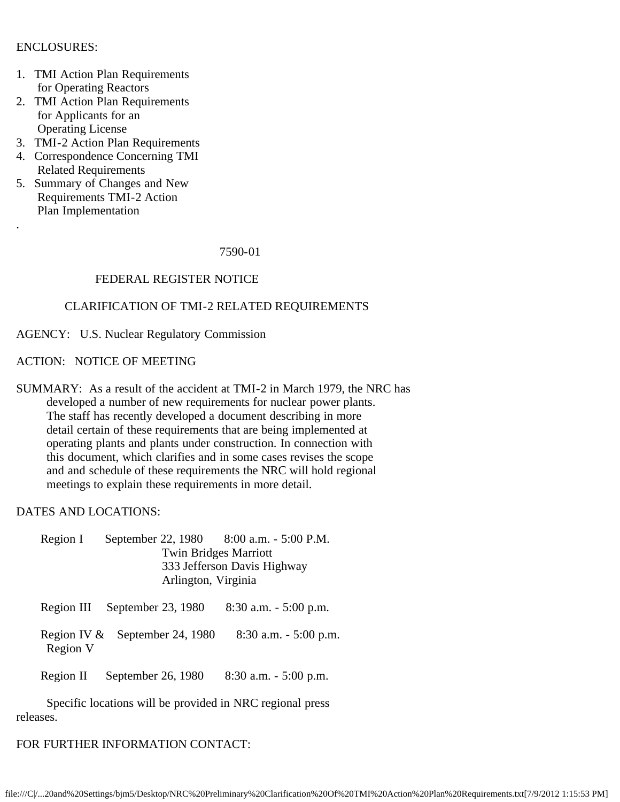## ENCLOSURES:

.

- 1. TMI Action Plan Requirements for Operating Reactors
- 2. TMI Action Plan Requirements for Applicants for an Operating License
- 3. TMI-2 Action Plan Requirements
- 4. Correspondence Concerning TMI Related Requirements
- 5. Summary of Changes and New Requirements TMI-2 Action Plan Implementation

#### 7590-01

## FEDERAL REGISTER NOTICE

## CLARIFICATION OF TMI-2 RELATED REQUIREMENTS

AGENCY: U.S. Nuclear Regulatory Commission

#### ACTION: NOTICE OF MEETING

SUMMARY: As a result of the accident at TMI-2 in March 1979, the NRC has developed a number of new requirements for nuclear power plants. The staff has recently developed a document describing in more detail certain of these requirements that are being implemented at operating plants and plants under construction. In connection with this document, which clarifies and in some cases revises the scope and and schedule of these requirements the NRC will hold regional meetings to explain these requirements in more detail.

DATES AND LOCATIONS:

Region I September 22, 1980 8:00 a.m. - 5:00 P.M. Twin Bridges Marriott 333 Jefferson Davis Highway Arlington, Virginia

Region III September 23, 1980 8:30 a.m. - 5:00 p.m.

Region IV & September 24, 1980 8:30 a.m. - 5:00 p.m. Region V

Region II September 26, 1980 8:30 a.m. - 5:00 p.m.

 Specific locations will be provided in NRC regional press releases.

### FOR FURTHER INFORMATION CONTACT: